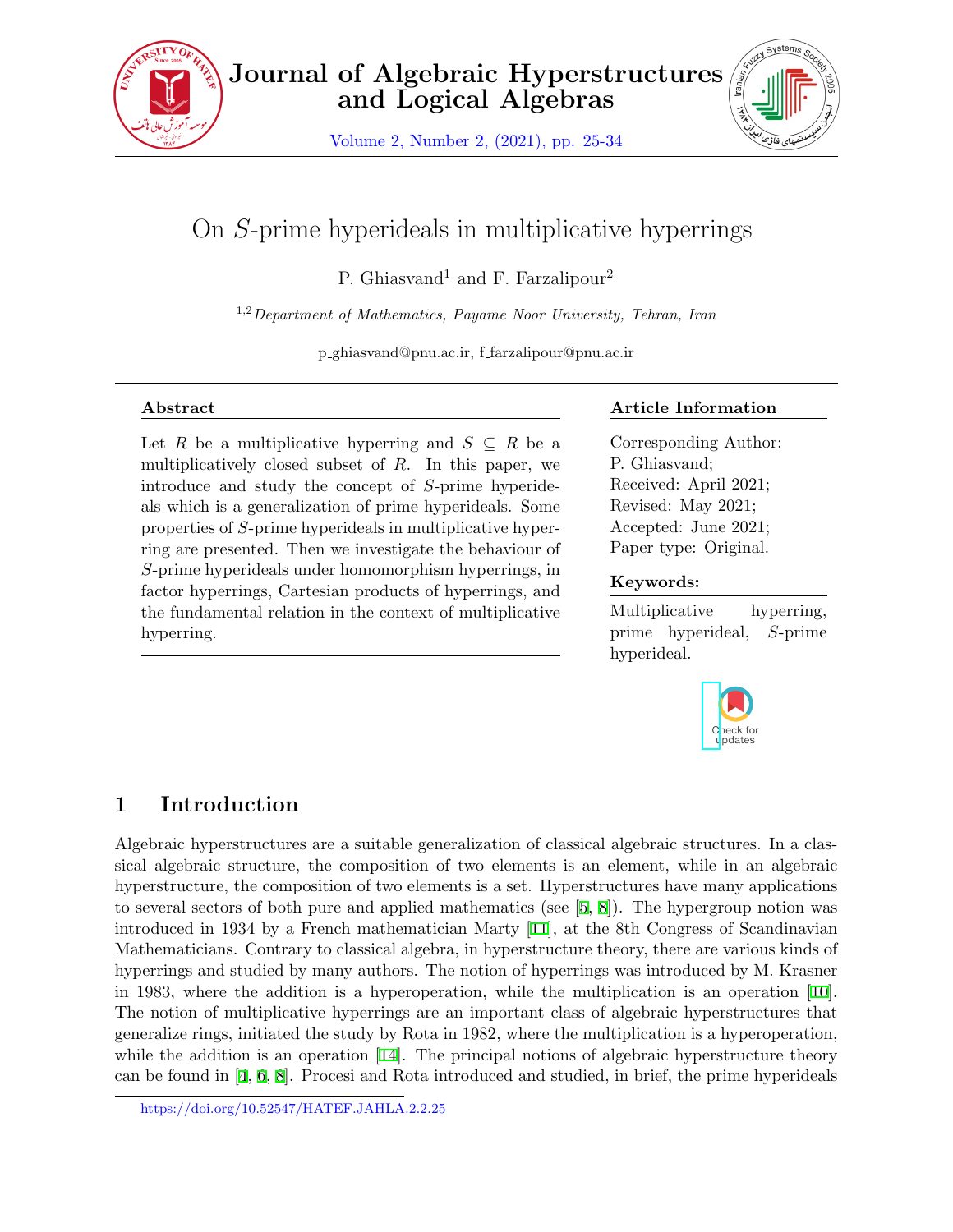

Volume 2, Number 2, (2021), pp. 25-34



# On *S*-prime hyperideals in multiplicative hyperrings

P. Ghiasvand<sup>1</sup> and F. Farzalipour<sup>2</sup>

1,2*Department of Mathematics, Payame Noor University, Tehran, Iran*

p ghiasvand@pnu.ac.ir, f farzalipour@pnu.ac.ir

#### **Abstract**

Let *R* be a multiplicative hyperring and  $S \subseteq R$  be a multiplicatively closed subset of *R*. In this paper, we introduce and study the concept of *S*-prime hyperideals which is a generalization of prime hyperideals. Some properties of *S*-prime hyperideals in multiplicative hyperring are presented. Then we investigate the behaviour of *S*-prime hyperideals under homomorphism hyperrings, in factor hyperrings, Cartesian products of hyperrings, and the fundamental relation in the context of multiplicative hyperring.

### **Article Information**

Corresponding Author: P. Ghiasvand; Received: April 2021; Revised: May 2021; Accepted: June 2021; Paper type: Original.

### **Keywords:**

Multiplicative hyperring, prime hyperideal, *S*-prime hyperideal.



# **1 Introduction**

Algebraic hyperstructures are a suitable generalization of classical algebraic structures. In a classical algebraic structure, the composition of two elements is an element, while in an algebraic hyperstructure, the composition of two elements is a set. Hyperstructures have many applications to several sectors of both pure and applied mathematics (see  $[5, 8]$  $[5, 8]$  $[5, 8]$  $[5, 8]$  $[5, 8]$ ). The hypergroup notion was introduced in 1934 by a French mathematician Marty [[11](#page-9-2)], at the 8th Congress of Scandinavian Mathematicians. Contrary to classical algebra, in hyperstructure theory, there are various kinds of hyperrings and studied by many authors. The notion of hyperrings was introduced by M. Krasner in 1983, where the addition is a hyperoperation, while the multiplication is an operation [[10](#page-9-3)]. The notion of multiplicative hyperrings are an important class of algebraic hyperstructures that generalize rings, initiated the study by Rota in 1982, where the multiplication is a hyperoperation, while the addition is an operation [[14](#page-9-4)]. The principal notions of algebraic hyperstructure theory can be found in [[4](#page-9-5), [6,](#page-9-6) [8\]](#page-9-1). Procesi and Rota introduced and studied, in brief, the prime hyperideals

https://doi.org/10.52547/HATEF.JAHLA.2.2.25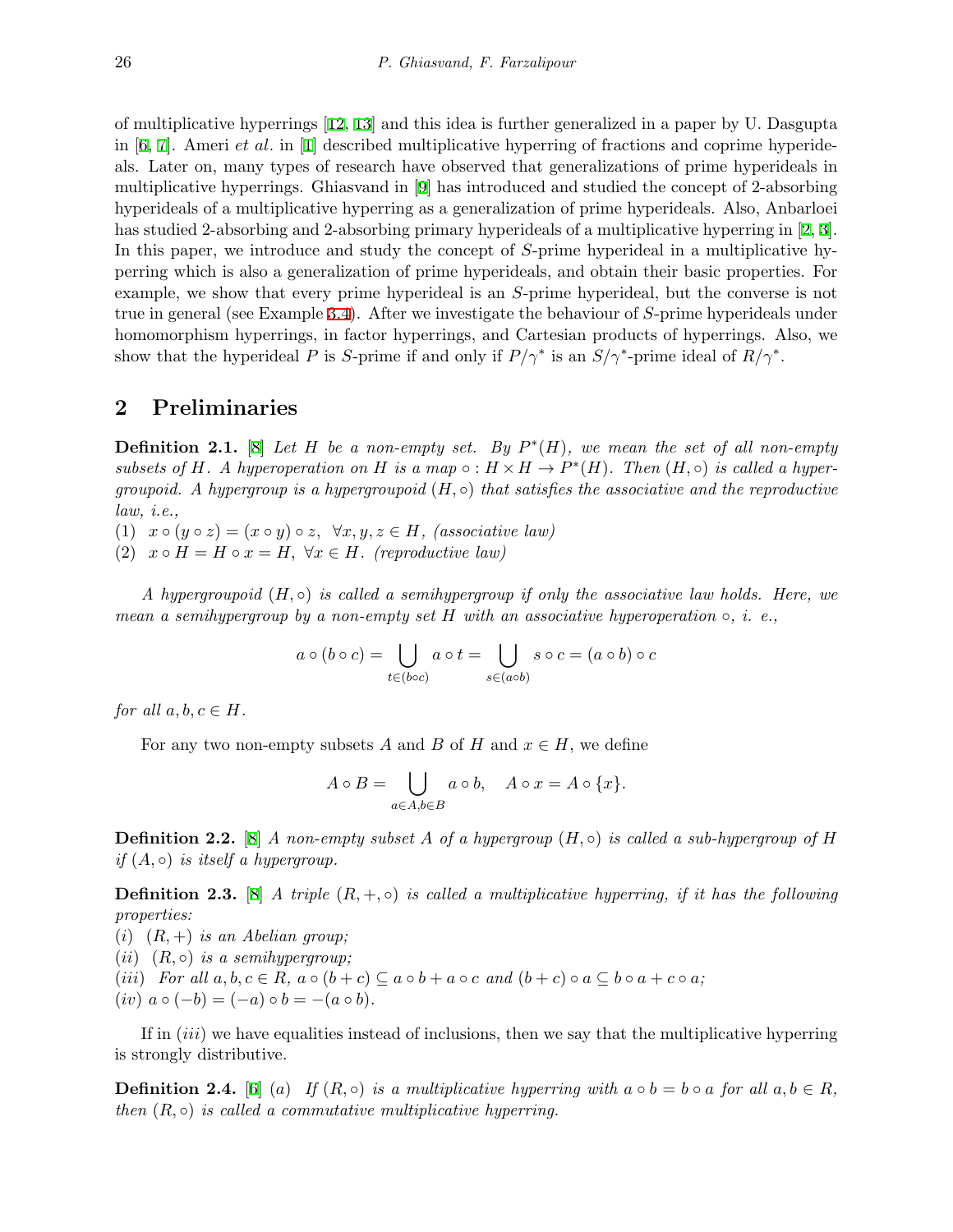of multiplicative hyperrings [[12](#page-9-7), [13\]](#page-9-8) and this idea is further generalized in a paper by U. Dasgupta in [\[6,](#page-9-6) [7](#page-9-9)]. Ameri *et al.* in [\[1\]](#page-9-10) described multiplicative hyperring of fractions and coprime hyperideals. Later on, many types of research have observed that generalizations of prime hyperideals in multiplicative hyperrings. Ghiasvand in [[9](#page-9-11)] has introduced and studied the concept of 2-absorbing hyperideals of a multiplicative hyperring as a generalization of prime hyperideals. Also, Anbarloei has studied 2-absorbing and 2-absorbing primary hyperideals of a multiplicative hyperring in [[2,](#page-9-12) [3](#page-9-13)]. In this paper, we introduce and study the concept of *S*-prime hyperideal in a multiplicative hyperring which is also a generalization of prime hyperideals, and obtain their basic properties. For example, we show that every prime hyperideal is an *S*-prime hyperideal, but the converse is not true in general (see Example [3.4\)](#page-3-0). After we investigate the behaviour of *S*-prime hyperideals under homomorphism hyperrings, in factor hyperrings, and Cartesian products of hyperrings. Also, we show that the hyperideal *P* is *S*-prime if and only if  $P/\gamma^*$  is an  $S/\gamma^*$ -prime ideal of  $R/\gamma^*$ .

#### **2 Preliminaries**

**Definition 2.1.** [[8](#page-9-1)] *Let H be a non-empty set. By P ∗* (*H*)*, we mean the set of all non-empty subsets of H*. A hyperoperation on *H* is a map  $\circ$  :  $H \times H \to P^*(H)$ . Then  $(H, \circ)$  is called a hyper*groupoid. A hypergroup is a hypergroupoid* (*H, ◦*) *that satisfies the associative and the reproductive law, i.e.,*

(1)  $x \circ (y \circ z) = (x \circ y) \circ z$ ,  $\forall x, y, z \in H$ , *(associative law)* 

 $(2)$   $x \circ H = H \circ x = H$ ,  $\forall x \in H$ *. (reproductive law)* 

*A hypergroupoid* (*H, ◦*) *is called a semihypergroup if only the associative law holds. Here, we mean a semihypergroup by a non-empty set H with an associative hyperoperation ◦, i. e.,*

$$
a \circ (b \circ c) = \bigcup_{t \in (b \circ c)} a \circ t = \bigcup_{s \in (a \circ b)} s \circ c = (a \circ b) \circ c
$$

*for all*  $a, b, c \in H$ *.* 

For any two non-empty subsets *A* and *B* of *H* and  $x \in H$ , we define

$$
A \circ B = \bigcup_{a \in A, b \in B} a \circ b, \quad A \circ x = A \circ \{x\}.
$$

**Definition 2.2.** [[8](#page-9-1)] *A non-empty subset A of a hypergroup*  $(H, \circ)$  *is called a sub-hypergroup of H if*  $(A, \circ)$  *is itself a hypergroup.* 

**Definition 2.3.** [[8](#page-9-1)] *A triple* (*R,* +*, ◦*) *is called a multiplicative hyperring, if it has the following properties:*

(*i*) (*R,* +) *is an Abelian group;*  $(iii)$   $(R, \circ)$  *is a semihypergroup*; (iii) For all  $a, b, c \in R$ ,  $a \circ (b + c) \subseteq a \circ b + a \circ c$  and  $(b + c) \circ a \subseteq b \circ a + c \circ a$ ;  $(iv)$   $a \circ (-b) = (-a) \circ b = -(a \circ b).$ 

If in (*iii*) we have equalities instead of inclusions, then we say that the multiplicative hyperring is strongly distributive.

**Definition 2.4.** [\[6\]](#page-9-6) (*a*) *If*  $(R, \circ)$  *is a multiplicative hyperring with*  $a \circ b = b \circ a$  *for all*  $a, b \in R$ *, then*  $(R, \circ)$  *is called a commutative multiplicative hyperring.*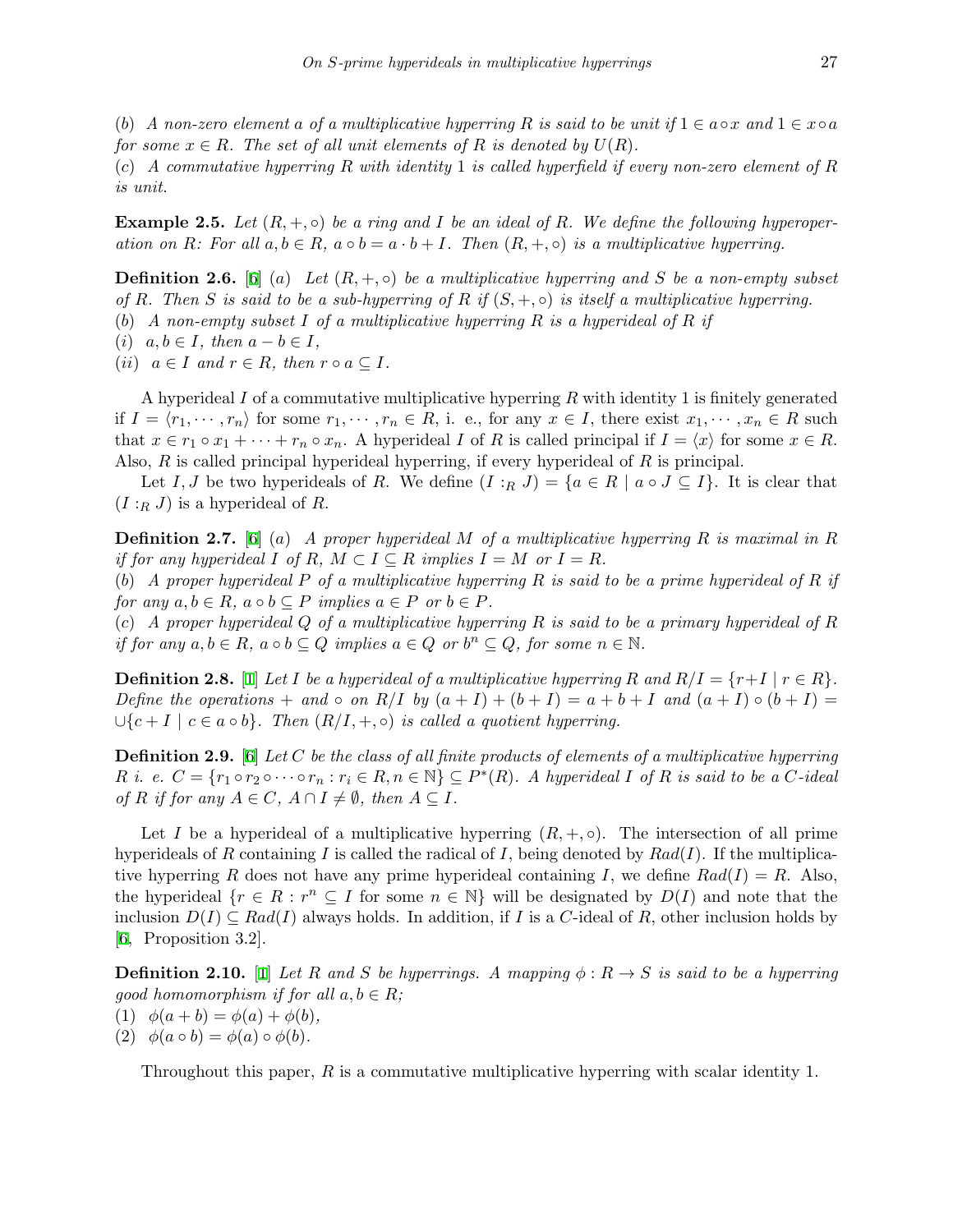(*b*) *A* non-zero element a of a multiplicative hyperring R is said to be unit if  $1 \in a \circ x$  and  $1 \in x \circ a$ *for some*  $x \in R$ *. The set of all unit elements of*  $R$  *is denoted by*  $U(R)$ *.* 

(*c*) *A commutative hyperring R with identity* 1 *is called hyperfield if every non-zero element of R is unit.*

**Example 2.5.** Let  $(R, +, \circ)$  be a ring and *I* be an ideal of *R*. We define the following hyperoperation on R: For all  $a, b \in R$ ,  $a \circ b = a \cdot b + I$ . Then  $(R, +, \circ)$  is a multiplicative hyperring.

**Definition 2.6.** [\[6\]](#page-9-6) (*a*) *Let* (*R,* +*, ◦*) *be a multiplicative hyperring and S be a non-empty subset of*  $R$ *. Then*  $S$  *is said to be a sub-hyperring of*  $R$  *if*  $(S, +, \circ)$  *is itself a multiplicative hyperring.* 

- (*b*) *A non-empty subset I of a multiplicative hyperring R is a hyperideal of R if*
- $(i)$   $a, b \in I$ , then  $a b \in I$ ,
- $(iii)$   $a \in I$  and  $r \in R$ , then  $r \circ a \subseteq I$ .

A hyperideal *I* of a commutative multiplicative hyperring *R* with identity 1 is finitely generated if  $I = \langle r_1, \dots, r_n \rangle$  for some  $r_1, \dots, r_n \in R$ , i. e., for any  $x \in I$ , there exist  $x_1, \dots, x_n \in R$  such that  $x \in r_1 \circ x_1 + \cdots + r_n \circ x_n$ . A hyperideal I of R is called principal if  $I = \langle x \rangle$  for some  $x \in R$ . Also, *R* is called principal hyperideal hyperring, if every hyperideal of *R* is principal.

Let *I*, *J* be two hyperideals of *R*. We define  $(I:_{R} J) = \{a \in R \mid a \circ J \subseteq I\}$ . It is clear that  $(I:_{R} J)$  is a hyperideal of *R*.

**Definition 2.7.** [\[6\]](#page-9-6) (*a*) *A proper hyperideal M of a multiplicative hyperring R is maximal in R if for any hyperideal*  $I \circ f R$ ,  $M \subset I \subseteq R$  *implies*  $I = M \circ I = R$ *.* 

(*b*) *A proper hyperideal P of a multiplicative hyperring R is said to be a prime hyperideal of R if for any*  $a, b \in R$ *,*  $a \circ b \subseteq P$  *implies*  $a \in P$  *or*  $b \in P$ *.* 

(*c*) *A proper hyperideal Q of a multiplicative hyperring R is said to be a primary hyperideal of R* if for any  $a, b \in R$ ,  $a \circ b \subseteq Q$  implies  $a \in Q$  or  $b^n \subseteq Q$ , for some  $n \in \mathbb{N}$ .

**Definition 2.8.** [[1](#page-9-10)] *Let I be a hyperideal of a multiplicative hyperring R* and  $R/I = \{r+I \mid r \in R\}$ *.* Define the operations + and  $\circ$  on R/I by  $(a + I) + (b + I) = a + b + I$  and  $(a + I) \circ (b + I) =$  $∪{c+I \mid c \in a \circ b}$ *. Then*  $(R/I, +, \circ)$  *is called a quotient hyperring.* 

**Definition 2.9.** [\[6](#page-9-6)] *Let C be the class of all finite products of elements of a multiplicative hyperring* R i. e.  $C = \{r_1 \circ r_2 \circ \cdots \circ r_n : r_i \in R, n \in \mathbb{N}\} \subseteq P^*(R)$ . A hyperideal I of R is said to be a C-ideal  $of$  *R if for any*  $A \in C$ *,*  $A \cap I \neq \emptyset$ *, then*  $A \subseteq I$ *.* 

Let *I* be a hyperideal of a multiplicative hyperring  $(R, +, \circ)$ . The intersection of all prime hyperideals of *R* containing *I* is called the radical of *I*, being denoted by  $Rad(I)$ . If the multiplicative hyperring *R* does not have any prime hyperideal containing *I*, we define  $Rad(I) = R$ . Also, the hyperideal  $\{r \in R : r^n \subseteq I \text{ for some } n \in \mathbb{N}\}\$  will be designated by  $D(I)$  and note that the inclusion *D*(*I*) *⊆ Rad*(*I*) always holds. In addition, if *I* is a *C*-ideal of *R*, other inclusion holds by [[6](#page-9-6), Proposition 3.2].

**Definition 2.10.** [\[1\]](#page-9-10) *Let R* and *S be hyperrings. A mapping*  $\phi : R \to S$  *is said to be a hyperring good homomorphism if for all*  $a, b \in R$ *;* 

- (1)  $\phi(a+b) = \phi(a) + \phi(b)$ ,
- $(2) \phi(a \circ b) = \phi(a) \circ \phi(b).$

Throughout this paper, *R* is a commutative multiplicative hyperring with scalar identity 1.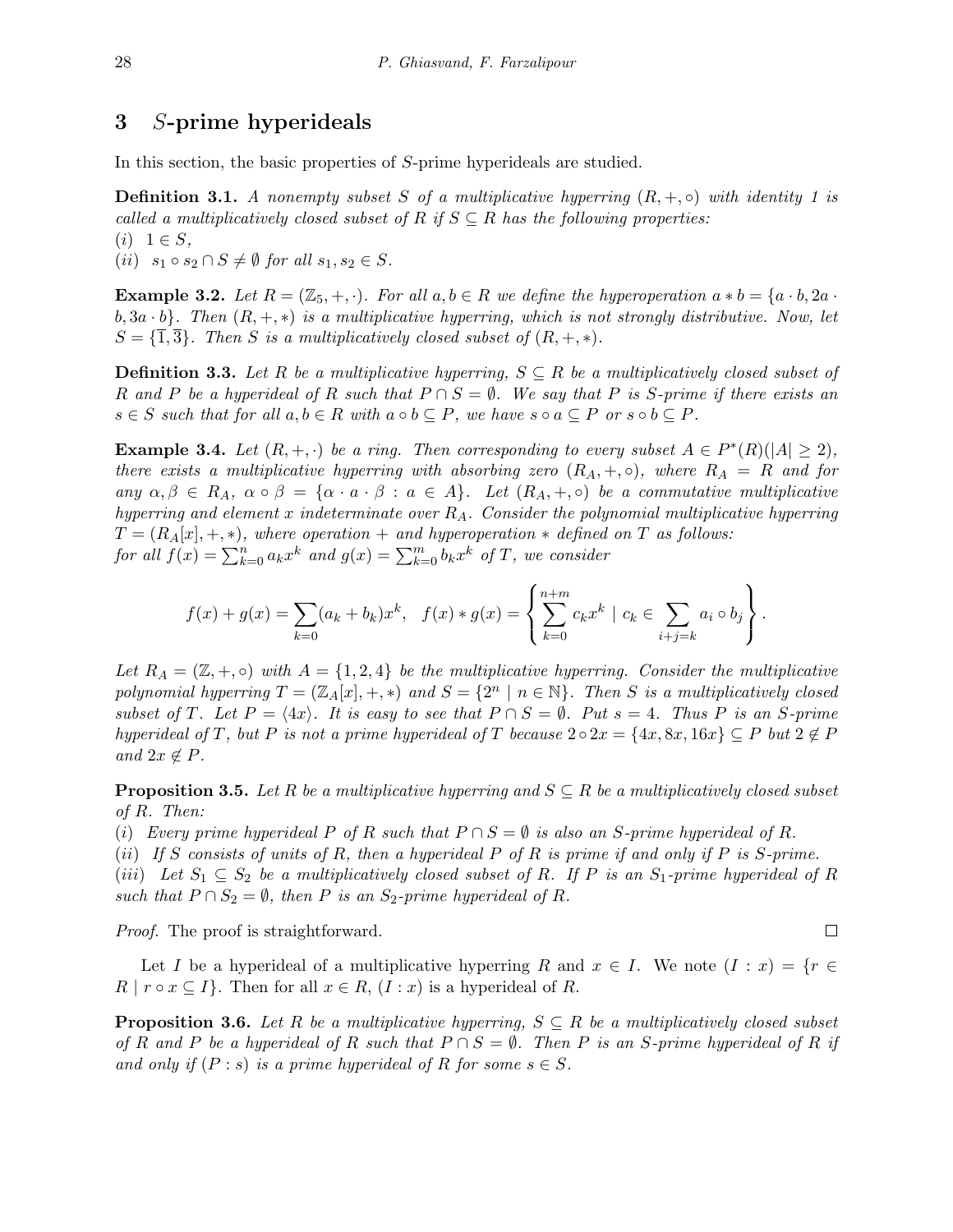### **3** *S***-prime hyperideals**

In this section, the basic properties of *S*-prime hyperideals are studied.

**Definition 3.1.** *A nonempty subset S of a multiplicative hyperring*  $(R, +, \circ)$  *with identity* 1 *is called a multiplicatively closed subset of*  $R$  *if*  $S \subseteq R$  *has the following properties:*  $(i)$  1  $\in$  *S*,

 $(ii)$   $s_1 \circ s_2 \cap S \neq \emptyset$  for all  $s_1, s_2 \in S$ .

**Example 3.2.** Let  $R = (\mathbb{Z}_5, +, \cdot)$ . For all  $a, b \in R$  we define the hyperoperation  $a * b = \{a \cdot b, 2a \cdot b\}$  $b, 3a \cdot b$ *}. Then*  $(R, +, *)$  *is a multiplicative hyperring, which is not strongly distributive. Now, let*  $S = \{\overline{1}, \overline{3}\}\$ *. Then S is a multiplicatively closed subset of*  $(R, +, *)$ *.* 

**Definition 3.3.** *Let R be a multiplicative hyperring, S ⊆ R be a multiplicatively closed subset of R* and *P* be a hyperideal of *R* such that  $P \cap S = \emptyset$ . We say that *P* is *S*-prime if there exists an  $s \in S$  such that for all  $a, b \in R$  with  $a \circ b \subseteq P$ , we have  $s \circ a \subseteq P$  or  $s \circ b \subseteq P$ .

<span id="page-3-0"></span>**Example 3.4.** Let  $(R, +, \cdot)$  be a ring. Then corresponding to every subset  $A \in P^*(R)(|A| \geq 2)$ , *there exists a multiplicative hyperring with absorbing zero*  $(R_A, +, \circ)$ *, where*  $R_A = R$  *and for* any  $\alpha, \beta \in R_A$ ,  $\alpha \circ \beta = \{ \alpha \cdot a \cdot \beta : a \in A \}$ . Let  $(R_A, +, \circ)$  be a commutative multiplicative *hyperring and element x indeterminate over RA. Consider the polynomial multiplicative hyperring*  $T = (R_A[x], +, *)$ , where operation + and hyperoperation  $*$  defined on  $T$  as follows: *for all*  $f(x) = \sum_{k=0}^{n} a_k x^k$  *and*  $g(x) = \sum_{k=0}^{m} b_k x^k$  *of T, we consider* 

$$
f(x) + g(x) = \sum_{k=0}^{\infty} (a_k + b_k) x^k, \quad f(x) * g(x) = \left\{ \sum_{k=0}^{n+m} c_k x^k \mid c_k \in \sum_{i+j=k} a_i \circ b_j \right\}.
$$

*Let*  $R_A = (\mathbb{Z}, +, \circ)$  *with*  $A = \{1, 2, 4\}$  *be the multiplicative hyperring. Consider the multiplicative polynomial hyperring*  $T = (\mathbb{Z}_A[x], +, *)$  *and*  $S = \{2^n | n \in \mathbb{N}\}$ *. Then S is a multiplicatively closed* subset of T. Let  $P = \langle 4x \rangle$ . It is easy to see that  $P \cap S = \emptyset$ . Put  $s = 4$ . Thus P is an S-prime hyperideal of T, but P is not a prime hyperideal of T because  $2 \circ 2x = \{4x, 8x, 16x\} \subseteq P$  but  $2 \notin P$  $and$   $2x \notin P$ *.* 

**Proposition 3.5.** *Let*  $R$  *be a multiplicative hyperring and*  $S \subseteq R$  *be a multiplicatively closed subset of R. Then:*

(*i*) *Every prime hyperideal P* of *R* such that  $P \cap S = \emptyset$  is also an *S*-prime hyperideal of *R*.

(*ii*) *If S consists of units of R, then a hyperideal P of R is prime if and only if P is S-prime.*

(*iii*) Let  $S_1 \subseteq S_2$  be a multiplicatively closed subset of R. If P is an  $S_1$ -prime hyperideal of R *such that*  $P \cap S_2 = \emptyset$ *, then*  $P$  *is an*  $S_2$ -prime hyperideal of R.

*Proof.* The proof is straightforward.

Let *I* be a hyperideal of a multiplicative hyperring *R* and  $x \in I$ . We note  $(I : x) = \{r \in I\}$  $R \mid r \circ x \subseteq I$ . Then for all  $x \in R$ ,  $(I : x)$  is a hyperideal of *R*.

<span id="page-3-1"></span>**Proposition 3.6.** *Let*  $R$  *be a multiplicative hyperring,*  $S \subseteq R$  *be a multiplicatively closed subset of*  $R$  *and*  $P$  *be a hyperideal of*  $R$  *such that*  $P \cap S = \emptyset$ *. Then*  $P$  *is an S*-prime hyperideal of  $R$  *if and only if*  $(P : s)$  *is a prime hyperideal of*  $R$  *for some*  $s \in S$ *.* 

 $\Box$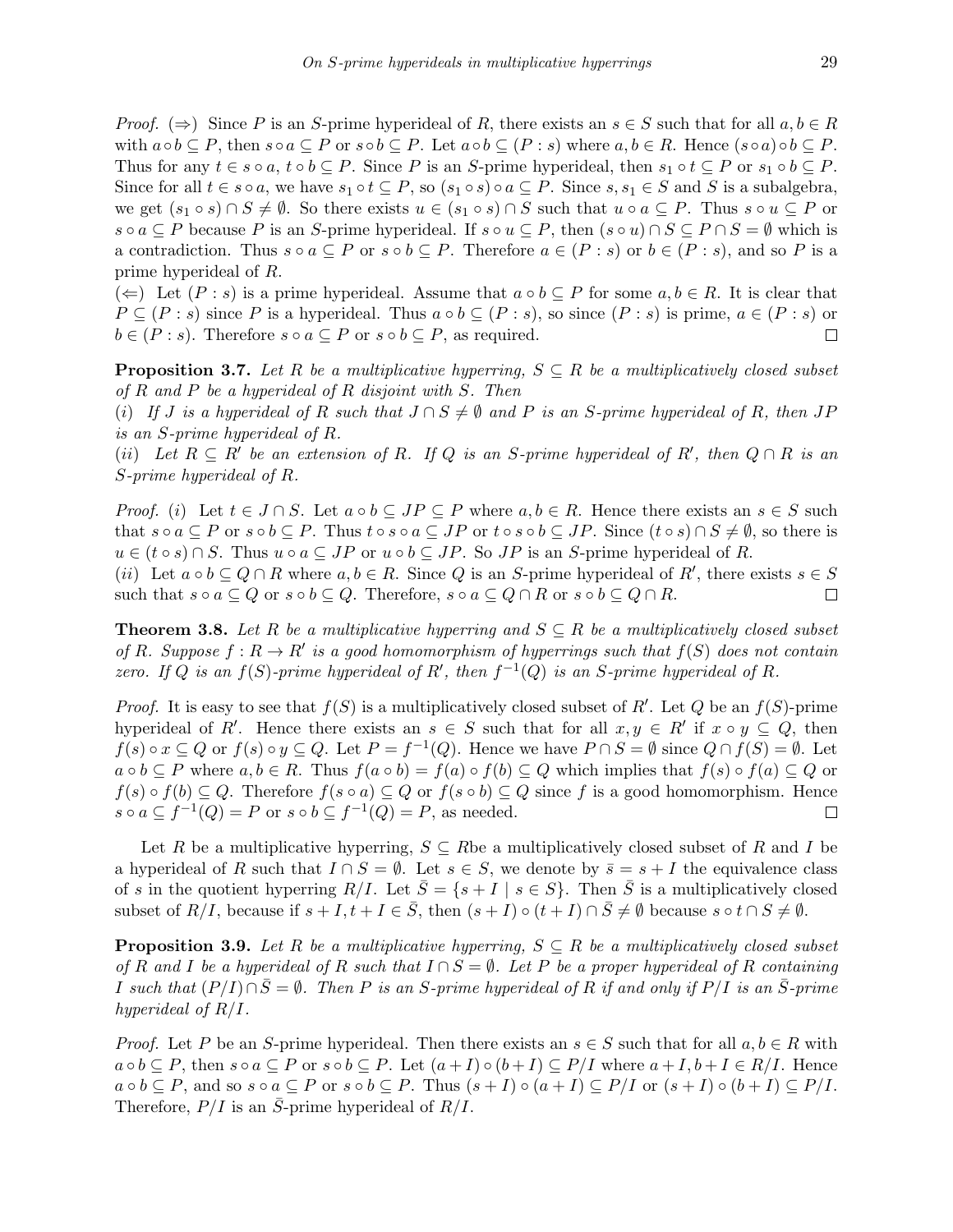*Proof.*  $(\Rightarrow)$  Since *P* is an *S*-prime hyperideal of *R*, there exists an  $s \in S$  such that for all  $a, b \in R$ with  $a \circ b \subseteq P$ , then  $s \circ a \subseteq P$  or  $s \circ b \subseteq P$ . Let  $a \circ b \subseteq (P : s)$  where  $a, b \in R$ . Hence  $(s \circ a) \circ b \subseteq P$ . Thus for any  $t \in s \circ a$ ,  $t \circ b \subseteq P$ . Since P is an S-prime hyperideal, then  $s_1 \circ t \subseteq P$  or  $s_1 \circ b \subseteq P$ . Since for all  $t \in s \circ a$ , we have  $s_1 \circ t \subseteq P$ , so  $(s_1 \circ s) \circ a \subseteq P$ . Since  $s, s_1 \in S$  and S is a subalgebra, we get  $(s_1 \circ s) \cap S \neq \emptyset$ . So there exists  $u \in (s_1 \circ s) \cap S$  such that  $u \circ a \subseteq P$ . Thus  $s \circ u \subseteq P$  or  $s \circ a \subseteq P$  because P is an S-prime hyperideal. If  $s \circ u \subseteq P$ , then  $(s \circ u) \cap S \subseteq P \cap S = \emptyset$  which is a contradiction. Thus  $s \circ a \subseteq P$  or  $s \circ b \subseteq P$ . Therefore  $a \in (P : s)$  or  $b \in (P : s)$ , and so P is a prime hyperideal of *R*.

(←) Let  $(P : s)$  is a prime hyperideal. Assume that  $a ∘ b ⊆ P$  for some  $a, b ∈ R$ . It is clear that  $P \subseteq (P : s)$  since *P* is a hyperideal. Thus  $a \circ b \subseteq (P : s)$ , so since  $(P : s)$  is prime,  $a \in (P : s)$  or  $b \in (P : s)$ . Therefore  $s \circ a \subseteq P$  or  $s \circ b \subseteq P$ , as required.  $\Box$ 

**Proposition 3.7.** *Let*  $R$  *be a multiplicative hyperring,*  $S \subseteq R$  *be a multiplicatively closed subset of R and P be a hyperideal of R disjoint with S. Then*

(i) If J is a hyperideal of R such that  $J \cap S \neq \emptyset$  and P is an S-prime hyperideal of R, then JP *is an S-prime hyperideal of R.*

(ii) Let  $R \subseteq R'$  be an extension of R. If Q is an S-prime hyperideal of R', then  $Q \cap R$  is an *S-prime hyperideal of R.*

*Proof.* (i) Let  $t \in J \cap S$ . Let  $a \circ b \subseteq JP \subseteq P$  where  $a,b \in R$ . Hence there exists an  $s \in S$  such that  $s \circ a \subseteq P$  or  $s \circ b \subseteq P$ . Thus  $t \circ s \circ a \subseteq JP$  or  $t \circ s \circ b \subseteq JP$ . Since  $(t \circ s) \cap S \neq \emptyset$ , so there is  $u \in (t \circ s) \cap S$ . Thus  $u \circ a \subseteq JP$  or  $u \circ b \subseteq JP$ . So  $JP$  is an *S*-prime hyperideal of *R*.

(*ii*) Let  $a \circ b \subseteq Q \cap R$  where  $a, b \in R$ . Since Q is an *S*-prime hyperideal of  $R'$ , there exists  $s \in S$ such that  $s \circ a \subseteq Q$  or  $s \circ b \subseteq Q$ . Therefore,  $s \circ a \subseteq Q \cap R$  or  $s \circ b \subseteq Q \cap R$ .  $\Box$ 

**Theorem 3.8.** Let  $R$  be a multiplicative hyperring and  $S \subseteq R$  be a multiplicatively closed subset *of*  $R$ *. Suppose*  $f: R \to R'$  *is a good homomorphism of hyperrings such that*  $f(S)$  *does not contain zero.* If  $Q$  *is an*  $f(S)$ -prime hyperideal of  $R'$ , then  $f^{-1}(Q)$  *is an*  $S$ -prime hyperideal of  $R$ .

*Proof.* It is easy to see that  $f(S)$  is a multiplicatively closed subset of R<sup>'</sup>. Let Q be an  $f(S)$ -prime hyperideal of *R'*. Hence there exists an  $s \in S$  such that for all  $x, y \in R'$  if  $x \circ y \subseteq Q$ , then  $f(s) \circ x \subseteq Q$  or  $f(s) \circ y \subseteq Q$ . Let  $P = f^{-1}(Q)$ . Hence we have  $P \cap S = \emptyset$  since  $Q \cap f(S) = \emptyset$ . Let  $a \circ b \subseteq P$  where  $a, b \in R$ . Thus  $f(a \circ b) = f(a) \circ f(b) \subseteq Q$  which implies that  $f(s) \circ f(a) \subseteq Q$  or  $f(s) \circ f(b) \subseteq Q$ . Therefore  $f(s \circ a) \subseteq Q$  or  $f(s \circ b) \subseteq Q$  since f is a good homomorphism. Hence  $s \circ a \subseteq f^{-1}(Q) = P$  or  $s \circ b \subseteq f^{-1}(Q) = P$ , as needed.  $\Box$ 

Let *R* be a multiplicative hyperring,  $S \subseteq R$  be a multiplicatively closed subset of *R* and *I* be a hyperideal of *R* such that  $I \cap S = \emptyset$ . Let  $s \in S$ , we denote by  $\overline{s} = s + I$  the equivalence class of *s* in the quotient hyperring  $R/I$ . Let  $\overline{S} = \{s + I \mid s \in S\}$ . Then  $\overline{S}$  is a multiplicatively closed subset of  $R/I$ , because if  $s + I$ ,  $t + I \in \overline{S}$ , then  $(s + I) \circ (t + I) \cap \overline{S} \neq \emptyset$  because  $s \circ t \cap S \neq \emptyset$ .

**Proposition 3.9.** *Let*  $R$  *be a multiplicative hyperring,*  $S \subseteq R$  *be a multiplicatively closed subset of*  $R$  and  $I$  be a hyperideal of  $R$  such that  $I \cap S = \emptyset$ . Let  $P$  be a proper hyperideal of  $R$  containing *I* such that  $(P/I) ∩ \overline{S} = ∅$ *. Then P* is an *S*-prime hyperideal of *R* if and only if  $P/I$  is an  $\overline{S}$ -prime *hyperideal of R/I.*

*Proof.* Let *P* be an *S*-prime hyperideal. Then there exists an  $s \in S$  such that for all  $a, b \in R$  with  $a \circ b \subseteq P$ , then  $s \circ a \subseteq P$  or  $s \circ b \subseteq P$ . Let  $(a+I) \circ (b+I) \subseteq P/I$  where  $a+I, b+I \in R/I$ . Hence  $a \circ b \subseteq P$ , and so  $s \circ a \subseteq P$  or  $s \circ b \subseteq P$ . Thus  $(s+I) \circ (a+I) \subseteq P/I$  or  $(s+I) \circ (b+I) \subseteq P/I$ . Therefore,  $P/I$  is an *S*-prime hyperideal of  $R/I$ .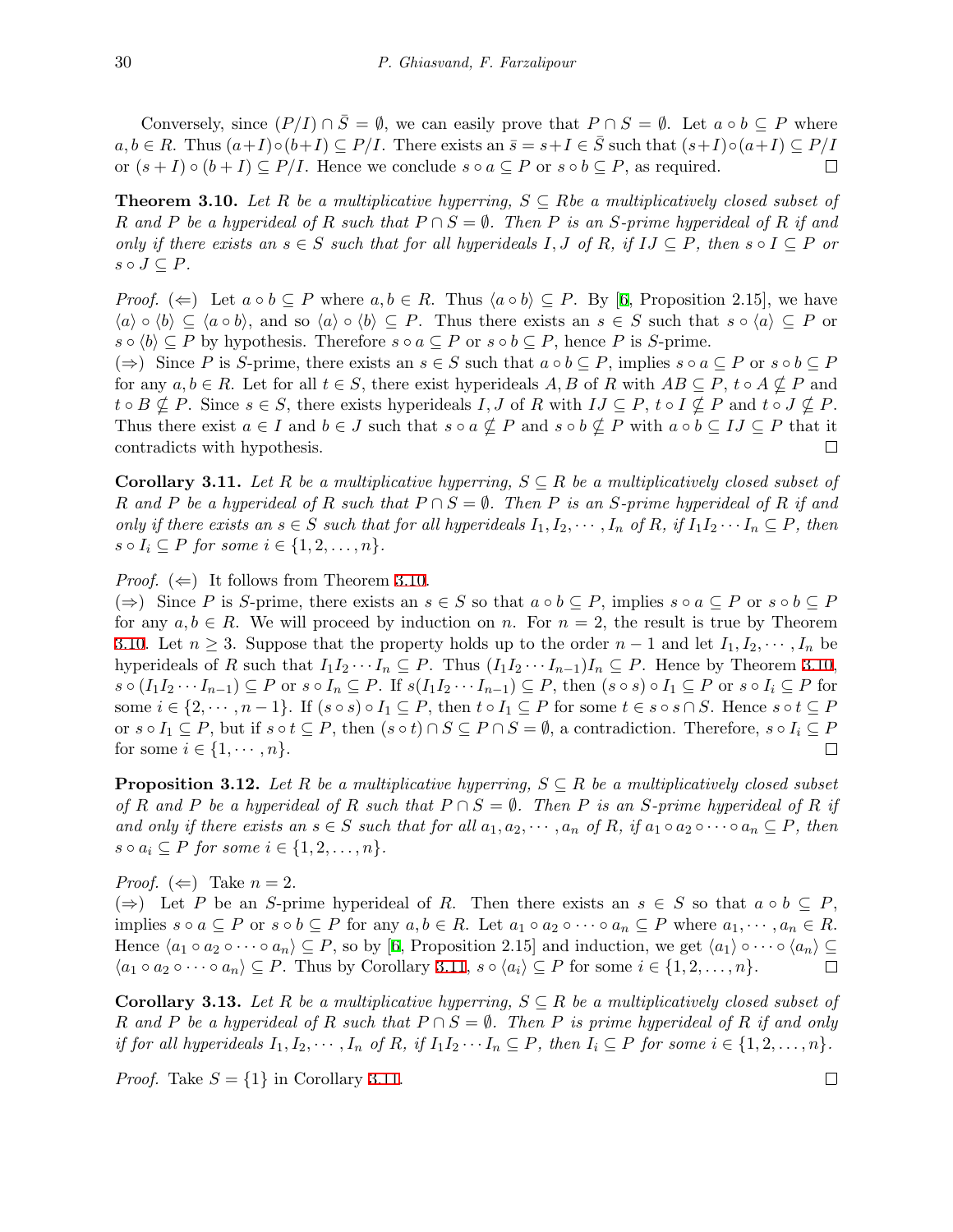Conversely, since  $(P/I) \cap \overline{S} = \emptyset$ , we can easily prove that  $P \cap S = \emptyset$ . Let  $a \circ b \subseteq P$  where  $a, b \in R$ . Thus  $(a+I) \circ (b+I) \subseteq P/I$ . There exists an  $\overline{s} = s+I \in \overline{S}$  such that  $(s+I) \circ (a+I) \subseteq P/I$ or  $(s+I) \circ (b+I) \subseteq P/I$ . Hence we conclude  $s \circ a \subseteq P$  or  $s \circ b \subseteq P$ , as required.  $\Box$ 

<span id="page-5-0"></span>**Theorem 3.10.** *Let*  $R$  *be a multiplicative hyperring,*  $S \subseteq R$ *be a multiplicatively closed subset of R* and *P* be a hyperideal of *R* such that  $P \cap S = \emptyset$ . Then *P* is an *S*-prime hyperideal of *R* if and only if there exists an  $s \in S$  such that for all hyperideals I, J of R, if  $IJ \subseteq P$ , then  $s \circ I \subseteq P$  or  $s \circ J \subseteq P$ *.* 

*Proof.* ( $\Leftarrow$ ) Let  $a \circ b \subseteq P$  where  $a, b \in R$ . Thus  $\langle a \circ b \rangle \subseteq P$ . By [\[6,](#page-9-6) Proposition 2.15], we have  $\langle a \rangle \circ \langle b \rangle \subseteq \langle a \circ b \rangle$ , and so  $\langle a \rangle \circ \langle b \rangle \subseteq P$ . Thus there exists an  $s \in S$  such that  $s \circ \langle a \rangle \subseteq P$  or *s*  $\circ$   $\langle b \rangle$  ⊆ *P* by hypothesis. Therefore *s*  $\circ$  *a* ⊆ *P* or *s*  $\circ$  *b* ⊆ *P*, hence *P* is *S*-prime.

 $(\Rightarrow)$  Since P is S-prime, there exists an  $s \in S$  such that  $a \circ b \subseteq P$ , implies  $s \circ a \subseteq P$  or  $s \circ b \subseteq P$ for any  $a, b \in R$ . Let for all  $t \in S$ , there exist hyperideals  $A, B$  of  $R$  with  $AB \subseteq P$ ,  $t \circ A \nsubseteq P$  and  $t \circ B \nsubseteq P$ . Since  $s \in S$ , there exists hyperideals I, J of R with  $IJ \subseteq P$ ,  $t \circ I \nsubseteq P$  and  $t \circ J \nsubseteq P$ . Thus there exist  $a \in I$  and  $b \in J$  such that  $s \circ a \nsubseteq P$  and  $s \circ b \nsubseteq P$  with  $a \circ b \subseteq I$   $\subseteq P$  that it contradicts with hypothesis.  $\Box$ 

<span id="page-5-1"></span>**Corollary 3.11.** *Let*  $R$  *be a multiplicative hyperring,*  $S \subseteq R$  *be a multiplicatively closed subset of R* and *P* be a hyperideal of *R* such that  $P \cap S = \emptyset$ . Then *P* is an *S*-prime hyperideal of *R* if and only if there exists an  $s \in S$  such that for all hyperideals  $I_1, I_2, \cdots, I_n$  of R, if  $I_1I_2 \cdots I_n \subseteq P$ , then  $s \circ I_i \subseteq P$  *for some*  $i \in \{1, 2, \ldots, n\}$ *.* 

*Proof.*  $(\Leftarrow)$  It follows from Theorem [3.10](#page-5-0).

 $(\Rightarrow)$  Since P is S-prime, there exists an  $s \in S$  so that  $a \circ b \subseteq P$ , implies  $s \circ a \subseteq P$  or  $s \circ b \subseteq P$ for any  $a, b \in R$ . We will proceed by induction on *n*. For  $n = 2$ , the result is true by Theorem [3.10](#page-5-0). Let  $n \geq 3$ . Suppose that the property holds up to the order  $n-1$  and let  $I_1, I_2, \cdots, I_n$  be hyperideals of *R* such that  $I_1I_2 \cdots I_n \subseteq P$ . Thus  $(I_1I_2 \cdots I_{n-1})I_n \subseteq P$ . Hence by Theorem [3.10](#page-5-0),  $s \circ (I_1 I_2 \cdots I_{n-1}) \subseteq P$  or  $s \circ I_n \subseteq P$ . If  $s(I_1 I_2 \cdots I_{n-1}) \subseteq P$ , then  $(s \circ s) \circ I_1 \subseteq P$  or  $s \circ I_i \subseteq P$  for some  $i \in \{2, \dots, n-1\}$ . If  $(s \circ s) \circ I_1 \subseteq P$ , then  $t \circ I_1 \subseteq P$  for some  $t \in s \circ s \cap S$ . Hence  $s \circ t \subseteq P$ or  $s \circ I_1 \subseteq P$ , but if  $s \circ t \subseteq P$ , then  $(s \circ t) \cap S \subseteq P \cap S = \emptyset$ , a contradiction. Therefore,  $s \circ I_i \subseteq P$ for some  $i \in \{1, \cdots, n\}$ . □

<span id="page-5-2"></span>**Proposition 3.12.** Let R be a multiplicative hyperring,  $S \subseteq R$  be a multiplicatively closed subset *of*  $R$  *and*  $P$  *be a hyperideal of*  $R$  *such that*  $P \cap S = \emptyset$ *. Then*  $P$  *is an S*-prime hyperideal of  $R$  *if* and only if there exists an  $s \in S$  such that for all  $a_1, a_2, \dots, a_n$  of R, if  $a_1 \circ a_2 \circ \dots \circ a_n \subseteq P$ , then *s*  $\circ$  *a*<sub>*i*</sub>  $\subseteq$  *P for some i*  $\in$  {1*,* 2*, . . . , n*}*.* 

*Proof.*  $(\Leftarrow)$  Take  $n = 2$ .

( $\Rightarrow$ ) Let *P* be an *S*-prime hyperideal of *R*. Then there exists an *s* ∈ *S* so that *a* ∘ *b* ⊆ *P*, implies  $s \circ a \subseteq P$  or  $s \circ b \subseteq P$  for any  $a, b \in R$ . Let  $a_1 \circ a_2 \circ \cdots \circ a_n \subseteq P$  where  $a_1, \cdots, a_n \in R$ . Hence  $\langle a_1 \circ a_2 \circ \cdots \circ a_n \rangle \subseteq P$ , so by [[6](#page-9-6), Proposition 2.15] and induction, we get  $\langle a_1 \rangle \circ \cdots \circ \langle a_n \rangle \subseteq P$  $\langle a_1 \circ a_2 \circ \cdots \circ a_n \rangle \subseteq P$ . Thus by Corollary [3.11,](#page-5-1)  $s \circ \langle a_i \rangle \subseteq P$  for some  $i \in \{1, 2, ..., n\}$ .  $\Box$ 

**Corollary 3.13.** *Let*  $R$  *be a multiplicative hyperring,*  $S \subseteq R$  *be a multiplicatively closed subset of R* and *P* be a hyperideal of *R* such that  $P \cap S = \emptyset$ . Then *P* is prime hyperideal of *R* if and only if for all hyperideals  $I_1, I_2, \cdots, I_n$  of R, if  $I_1I_2 \cdots I_n \subseteq P$ , then  $I_i \subseteq P$  for some  $i \in \{1, 2, \ldots, n\}$ .

*Proof.* Take  $S = \{1\}$  in Corollary [3.11](#page-5-1).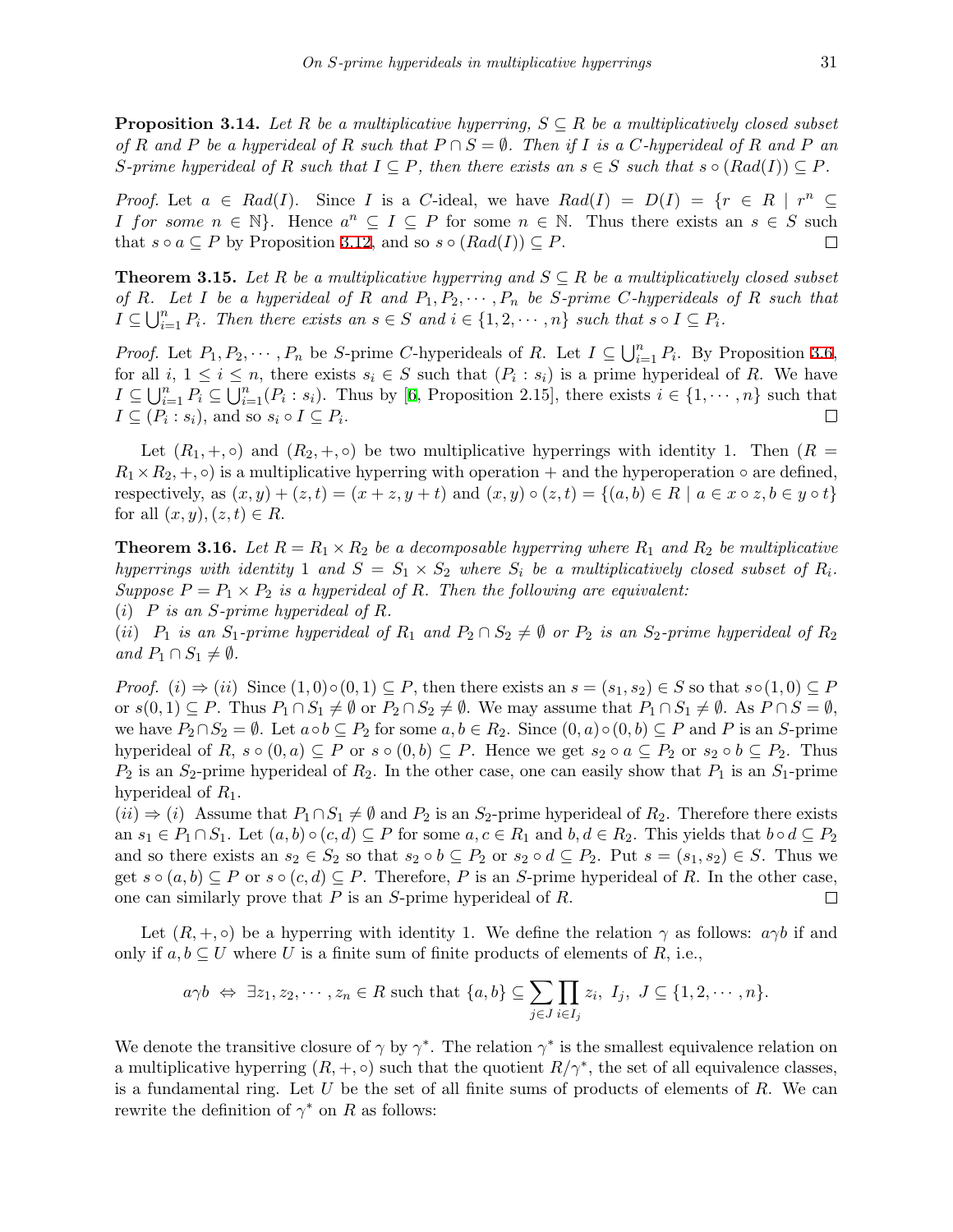**Proposition 3.14.** Let  $R$  be a multiplicative hyperring,  $S \subseteq R$  be a multiplicatively closed subset of R and P be a hyperideal of R such that  $P \cap S = \emptyset$ . Then if I is a C-hyperideal of R and P an S-prime hyperideal of R such that  $I \subseteq P$ , then there exists an  $s \in S$  such that  $s \circ (Rad(I)) \subseteq P$ .

*Proof.* Let  $a \in Rad(I)$ . Since *I* is a *C*-ideal, we have  $Rad(I) = D(I) = \{r \in R \mid r^n \subseteq I\}$ *I* for some  $n \in \mathbb{N}$ . Hence  $a^n \subseteq I \subseteq P$  for some  $n \in \mathbb{N}$ . Thus there exists an  $s \in S$  such that  $s \circ a \subseteq P$  by Proposition [3.12](#page-5-2), and so  $s \circ (Rad(I)) \subseteq P$ .  $\Box$ 

**Theorem 3.15.** *Let*  $R$  *be a multiplicative hyperring and*  $S \subseteq R$  *be a multiplicatively closed subset* of R. Let I be a hyperideal of R and  $P_1, P_2, \cdots, P_n$  be S-prime C-hyperideals of R such that  $I \subseteq \bigcup_{i=1}^{n} P_i$ . Then there exists an  $s \in S$  and  $i \in \{1, 2, \cdots, n\}$  such that  $s \circ I \subseteq P_i$ .

*Proof.* Let  $P_1, P_2, \cdots, P_n$  be *S*-prime *C*-hyperideals of *R*. Let  $I \subseteq \bigcup_{i=1}^n P_i$ . By Proposition [3.6](#page-3-1), for all  $i, 1 \leq i \leq n$ , there exists  $s_i \in S$  such that  $(P_i : s_i)$  is a prime hyperideal of R. We have  $I \subseteq \bigcup_{i=1}^n P_i \subseteq \bigcup_{i=1}^n (P_i : s_i)$ . Thus by [\[6,](#page-9-6) Proposition 2.15], there exists  $i \in \{1, \dots, n\}$  such that  $I \subseteq (P_i : s_i)$ , and so  $s_i \circ I \subseteq P_i$ .  $\Box$ 

Let  $(R_1, +, \circ)$  and  $(R_2, +, \circ)$  be two multiplicative hyperrings with identity 1. Then  $(R =$  $R_1 \times R_2, +, \circ$ ) is a multiplicative hyperring with operation + and the hyperoperation  $\circ$  are defined, respectively, as  $(x, y) + (z, t) = (x + z, y + t)$  and  $(x, y) \circ (z, t) = \{(a, b) \in R \mid a \in x \circ z, b \in y \circ t\}$ for all  $(x, y)$ *,*  $(z, t) \in R$ .

**Theorem 3.16.** *Let*  $R = R_1 \times R_2$  *be a decomposable hyperring where*  $R_1$  *and*  $R_2$  *be multiplicative hyperrings with identity* 1 *and*  $S = S_1 \times S_2$  *where*  $S_i$  *be a multiplicatively closed subset of*  $R_i$ *. Suppose*  $P = P_1 \times P_2$  *is a hyperideal of R. Then the following are equivalent:* 

(*i*) *P is an S-prime hyperideal of R.*

(*ii*)  $P_1$  *is an*  $S_1$ -prime hyperideal of  $R_1$  and  $P_2 \cap S_2 \neq \emptyset$  or  $P_2$  *is an*  $S_2$ -prime hyperideal of  $R_2$ *and*  $P_1$  ∩  $S_1 \neq \emptyset$ *.* 

*Proof.* (i)  $\Rightarrow$  (ii) Since  $(1,0) \circ (0,1) \subseteq P$ , then there exists an  $s = (s_1, s_2) \in S$  so that  $s \circ (1,0) \subseteq P$ or  $s(0,1) \subseteq P$ . Thus  $P_1 \cap S_1 \neq \emptyset$  or  $P_2 \cap S_2 \neq \emptyset$ . We may assume that  $P_1 \cap S_1 \neq \emptyset$ . As  $P \cap S = \emptyset$ , we have  $P_2 \cap S_2 = \emptyset$ . Let  $a \circ b \subseteq P_2$  for some  $a, b \in R_2$ . Since  $(0, a) \circ (0, b) \subseteq P$  and P is an S-prime hyperideal of R,  $s \circ (0, a) \subseteq P$  or  $s \circ (0, b) \subseteq P$ . Hence we get  $s_2 \circ a \subseteq P_2$  or  $s_2 \circ b \subseteq P_2$ . Thus  $P_2$  is an  $S_2$ -prime hyperideal of  $R_2$ . In the other case, one can easily show that  $P_1$  is an  $S_1$ -prime hyperideal of *R*1.

 $(ii) \Rightarrow (i)$  Assume that  $P_1 \cap S_1 \neq \emptyset$  and  $P_2$  is an  $S_2$ -prime hyperideal of  $R_2$ . Therefore there exists an  $s_1 \in P_1 \cap S_1$ . Let  $(a, b) \circ (c, d) \subseteq P$  for some  $a, c \in R_1$  and  $b, d \in R_2$ . This yields that  $b \circ d \subseteq P_2$ and so there exists an  $s_2 \in S_2$  so that  $s_2 \circ b \subseteq P_2$  or  $s_2 \circ d \subseteq P_2$ . Put  $s = (s_1, s_2) \in S$ . Thus we get  $s \circ (a, b) \subseteq P$  or  $s \circ (c, d) \subseteq P$ . Therefore, P is an *S*-prime hyperideal of R. In the other case, one can similarly prove that *P* is an *S*-prime hyperideal of *R*.  $\Box$ 

Let  $(R, +, \circ)$  be a hyperring with identity 1. We define the relation  $\gamma$  as follows:  $a\gamma b$  if and only if  $a, b \subseteq U$  where *U* is a finite sum of finite products of elements of *R*, i.e.,

$$
a\gamma b \Leftrightarrow \exists z_1, z_2, \cdots, z_n \in R
$$
 such that  $\{a, b\} \subseteq \sum_{j \in J} \prod_{i \in I_j} z_i, I_j, J \subseteq \{1, 2, \cdots, n\}.$ 

We denote the transitive closure of  $\gamma$  by  $\gamma^*$ . The relation  $\gamma^*$  is the smallest equivalence relation on a multiplicative hyperring  $(R, +, \circ)$  such that the quotient  $R/\gamma^*$ , the set of all equivalence classes, is a fundamental ring. Let *U* be the set of all finite sums of products of elements of *R*. We can rewrite the definition of  $\gamma^*$  on *R* as follows: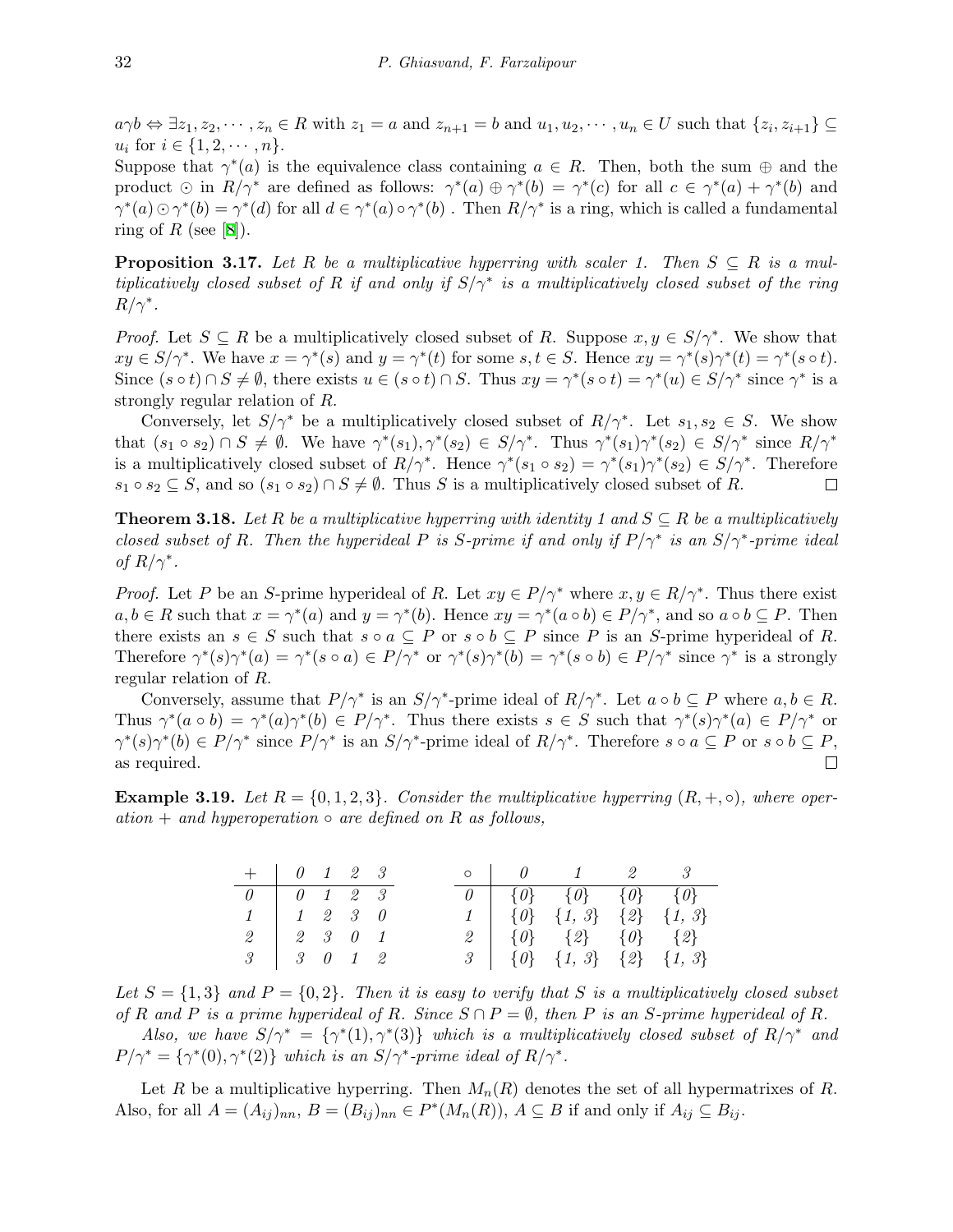$a\gamma b \Leftrightarrow \exists z_1, z_2, \cdots, z_n \in R$  with  $z_1 = a$  and  $z_{n+1} = b$  and  $u_1, u_2, \cdots, u_n \in U$  such that  $\{z_i, z_{i+1}\} \subseteq$  $u_i$  for  $i \in \{1, 2, \dots, n\}.$ 

Suppose that  $\gamma^*(a)$  is the equivalence class containing  $a \in R$ . Then, both the sum  $\oplus$  and the product  $\odot$  in  $R/\gamma^*$  are defined as follows:  $\gamma^*(a) \oplus \gamma^*(b) = \gamma^*(c)$  for all  $c \in \gamma^*(a) + \gamma^*(b)$  and  $\gamma^*(a) \odot \gamma^*(b) = \gamma^*(d)$  for all  $d \in \gamma^*(a) \circ \gamma^*(b)$ . Then  $R/\gamma^*$  is a ring, which is called a fundamental ring of  $R$  (see [\[8\]](#page-9-1)).

**Proposition 3.17.** Let R be a multiplicative hyperring with scaler 1. Then  $S \subseteq R$  is a mul*tiplicatively closed subset of R if and only if S/γ∗ is a multiplicatively closed subset of the ring*  $R/\gamma^*$ .

*Proof.* Let  $S \subseteq R$  be a multiplicatively closed subset of R. Suppose  $x, y \in S/\gamma^*$ . We show that  $xy \in S/\gamma^*$ . We have  $x = \gamma^*(s)$  and  $y = \gamma^*(t)$  for some  $s, t \in S$ . Hence  $xy = \gamma^*(s)\gamma^*(t) = \gamma^*(s \circ t)$ . Since  $(s \circ t) \cap S \neq \emptyset$ , there exists  $u \in (s \circ t) \cap S$ . Thus  $xy = \gamma^*(s \circ t) = \gamma^*(u) \in S/\gamma^*$  since  $\gamma^*$  is a strongly regular relation of *R*.

Conversely, let  $S/\gamma^*$  be a multiplicatively closed subset of  $R/\gamma^*$ . Let  $s_1, s_2 \in S$ . We show that  $(s_1 \circ s_2) \cap S \neq \emptyset$ . We have  $\gamma^*(s_1), \gamma^*(s_2) \in S/\gamma^*$ . Thus  $\gamma^*(s_1)\gamma^*(s_2) \in S/\gamma^*$  since  $R/\gamma^*$ is a multiplicatively closed subset of  $R/\gamma^*$ . Hence  $\gamma^*(s_1 \circ s_2) = \gamma^*(s_1)\gamma^*(s_2) \in S/\gamma^*$ . Therefore  $s_1 \circ s_2 \subseteq S$ , and so  $(s_1 \circ s_2) \cap S \neq \emptyset$ . Thus *S* is a multiplicatively closed subset of *R*.  $\Box$ 

**Theorem 3.18.** *Let*  $R$  *be a multiplicative hyperring with identity 1 and*  $S \subseteq R$  *be a multiplicatively closed subset of R. Then the hyperideal P is S*-prime *if* and only if  $P/\gamma^*$  *is an*  $S/\gamma^*$ -prime ideal *of*  $R/\gamma^*$ .

*Proof.* Let *P* be an *S*-prime hyperideal of *R*. Let  $xy \in P/\gamma^*$  where  $x, y \in R/\gamma^*$ . Thus there exist  $a, b \in R$  such that  $x = \gamma^*(a)$  and  $y = \gamma^*(b)$ . Hence  $xy = \gamma^*(a \circ b) \in P/\gamma^*$ , and so  $a \circ b \subseteq P$ . Then there exists an  $s \in S$  such that  $s \circ a \subseteq P$  or  $s \circ b \subseteq P$  since P is an *S*-prime hyperideal of R. Therefore  $\gamma^*(s)\gamma^*(a) = \gamma^*(s \circ a) \in P/\gamma^*$  or  $\gamma^*(s)\gamma^*(b) = \gamma^*(s \circ b) \in P/\gamma^*$  since  $\gamma^*$  is a strongly regular relation of *R*.

Conversely, assume that  $P/\gamma^*$  is an  $S/\gamma^*$ -prime ideal of  $R/\gamma^*$ . Let  $a \circ b \subseteq P$  where  $a, b \in R$ . Thus  $\gamma^*(a \circ b) = \gamma^*(a)\gamma^*(b) \in P/\gamma^*$ . Thus there exists  $s \in S$  such that  $\gamma^*(s)\gamma^*(a) \in P/\gamma^*$  or  $\gamma^*(s)\gamma^*(b) \in P/\gamma^*$  since  $P/\gamma^*$  is an  $S/\gamma^*$ -prime ideal of  $R/\gamma^*$ . Therefore  $s \circ a \subseteq P$  or  $s \circ b \subseteq P$ , as required.  $\Box$ 

**Example 3.19.** Let  $R = \{0, 1, 2, 3\}$ . Consider the multiplicative hyperring  $(R, +, \circ)$ *, where oper* $ation + and hyperoperation \circ are defined on R as follows,$ 

| $+$ $\begin{array}{ccc} 0 & 1 & 2 & 3 \end{array}$      |                                     |  |  |  | $\circ$   $\theta$   $1$   $2$   $3$                                                |  |
|---------------------------------------------------------|-------------------------------------|--|--|--|-------------------------------------------------------------------------------------|--|
| $\begin{array}{c cccc}\n0 & 0 & 1 & 2 & 3\n\end{array}$ |                                     |  |  |  | $\theta \begin{bmatrix} \{\theta\} & \{\theta\} & \{\theta\} \end{bmatrix}$ {0} {0} |  |
|                                                         | $1 \quad 1 \quad 2 \quad 3 \quad 0$ |  |  |  | $1 \mid \{0\} \{1, 3\} \{2\} \{1, 3\}$                                              |  |
|                                                         | $2 \mid 2 \mid 3 \mid 0 \mid 1$     |  |  |  | 2   $\{0\}$ $\{2\}$ $\{0\}$ $\{2\}$                                                 |  |
| $\begin{array}{c cccc}\n3 & 3 & 0 & 1 & 2\n\end{array}$ |                                     |  |  |  | $3 \mid \{\emptyset\} \{1, 3\} \{2\} \{1, 3\}$                                      |  |

Let  $S = \{1,3\}$  and  $P = \{0,2\}$ . Then it is easy to verify that S is a multiplicatively closed subset *of*  $R$  *and*  $P$  *is a prime hyperideal of*  $R$ *. Since*  $S \cap P = \emptyset$ *, then*  $P$  *is an*  $S$ *-prime hyperideal of*  $R$ *.* 

*Also, we have*  $S/\gamma^* = {\gamma^*(1), \gamma^*(3)}$  *which is a multiplicatively closed subset of*  $R/\gamma^*$  *and*  $P/\gamma^* = \{\gamma^*(0), \gamma^*(2)\}\$  *which is an*  $S/\gamma^*$ -prime ideal of  $R/\gamma^*$ .

Let *R* be a multiplicative hyperring. Then  $M_n(R)$  denotes the set of all hypermatrixes of *R*. Also, for all  $A = (A_{ij})_{nn}$ ,  $B = (B_{ij})_{nn} \in P^*(M_n(R))$ ,  $A \subseteq B$  if and only if  $A_{ij} \subseteq B_{ij}$ .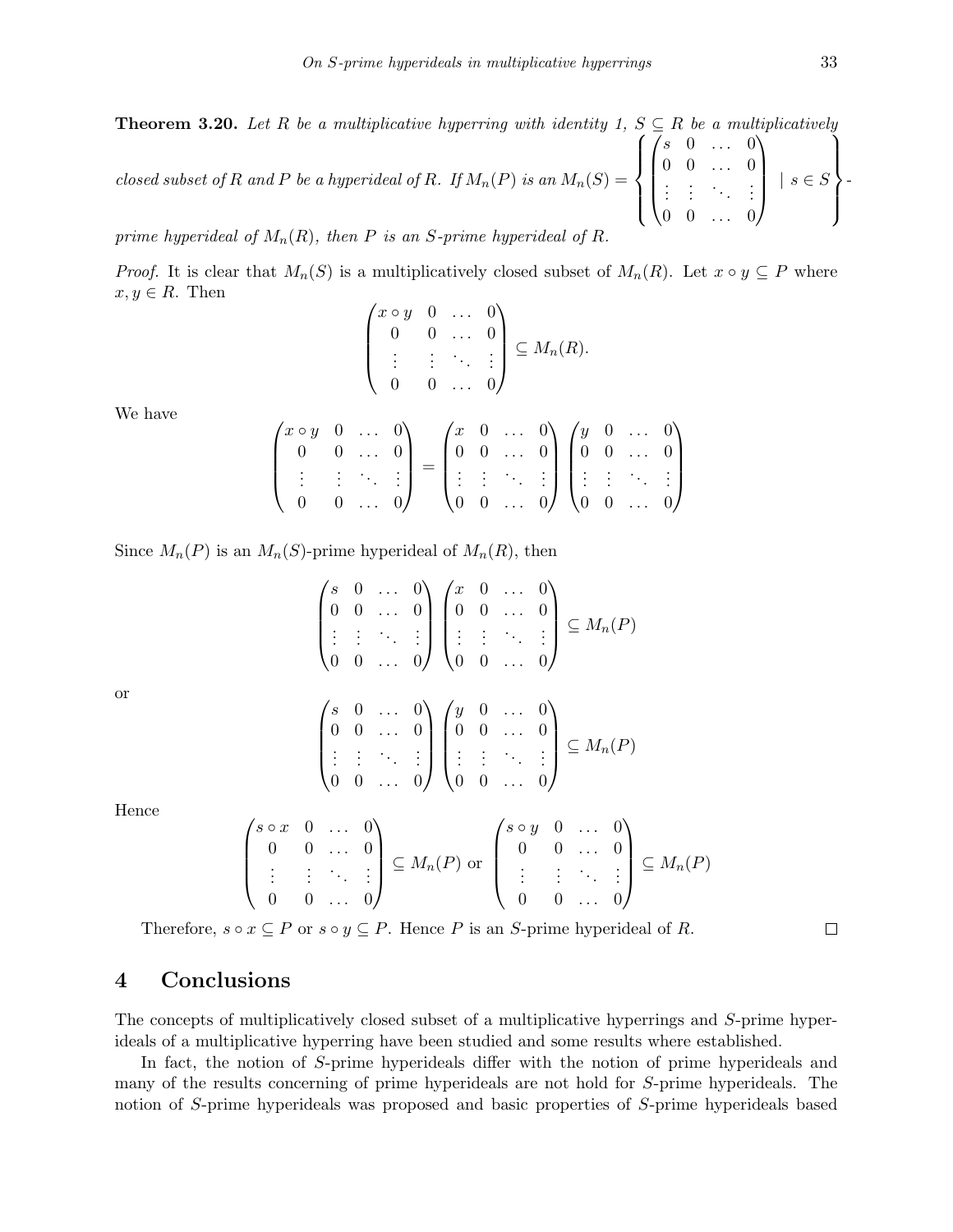**Theorem 3.20.** Let R be a multiplicative hyperring with identity 1,  $S \subseteq R$  be a multiplicatively *closed subset of*  $R$  *and*  $P$  *be a hyperideal of*  $R$ *. If*  $M_n(P)$  *is an*  $M_n(S)$  =  $\sqrt{ }$  $\int$  $\overline{\mathcal{L}}$  $\sqrt{ }$  $\overline{\phantom{a}}$ *s* 0 *. . .* 0 0 0 *. . .* 0 *. . . . . . . . . . . .* 0 0 *. . .* 0  $\setminus$  *| s ∈ S*  $\mathcal{L}$  $\overline{\mathcal{L}}$  $\int$ *-*

*prime hyperideal of*  $M_n(R)$ *, then*  $P$  *is an*  $S$ *-prime hyperideal of*  $R$ *.* 

*Proof.* It is clear that  $M_n(S)$  is a multiplicatively closed subset of  $M_n(R)$ . Let  $x \circ y \subseteq P$  where  $x, y \in R$ . Then

$$
\begin{pmatrix} x \circ y & 0 & \dots & 0 \\ 0 & 0 & \dots & 0 \\ \vdots & \vdots & \ddots & \vdots \\ 0 & 0 & \dots & 0 \end{pmatrix} \subseteq M_n(R).
$$

We have

$$
\begin{pmatrix} x \circ y & 0 & \dots & 0 \\ 0 & 0 & \dots & 0 \\ \vdots & \vdots & \ddots & \vdots \\ 0 & 0 & \dots & 0 \end{pmatrix} = \begin{pmatrix} x & 0 & \dots & 0 \\ 0 & 0 & \dots & 0 \\ \vdots & \vdots & \ddots & \vdots \\ 0 & 0 & \dots & 0 \end{pmatrix} \begin{pmatrix} y & 0 & \dots & 0 \\ 0 & 0 & \dots & 0 \\ \vdots & \vdots & \ddots & \vdots \\ 0 & 0 & \dots & 0 \end{pmatrix}
$$

Since  $M_n(P)$  is an  $M_n(S)$ -prime hyperideal of  $M_n(R)$ , then

$$
\begin{pmatrix} s & 0 & \dots & 0 \\ 0 & 0 & \dots & 0 \\ \vdots & \vdots & \ddots & \vdots \\ 0 & 0 & \dots & 0 \end{pmatrix} \begin{pmatrix} x & 0 & \dots & 0 \\ 0 & 0 & \dots & 0 \\ \vdots & \vdots & \ddots & \vdots \\ 0 & 0 & \dots & 0 \end{pmatrix} \subseteq M_n(P)
$$

or

$$
\begin{pmatrix} s & 0 & \dots & 0 \\ 0 & 0 & \dots & 0 \\ \vdots & \vdots & \ddots & \vdots \\ 0 & 0 & \dots & 0 \end{pmatrix} \begin{pmatrix} y & 0 & \dots & 0 \\ 0 & 0 & \dots & 0 \\ \vdots & \vdots & \ddots & \vdots \\ 0 & 0 & \dots & 0 \end{pmatrix} \subseteq M_n(P)
$$

Hence

$$
\begin{pmatrix}\ns \circ x & 0 & \dots & 0 \\
0 & 0 & \dots & 0 \\
\vdots & \vdots & \ddots & \vdots \\
0 & 0 & \dots & 0\n\end{pmatrix} \subseteq M_n(P) \text{ or } \begin{pmatrix}\ns \circ y & 0 & \dots & 0 \\
0 & 0 & \dots & 0 \\
\vdots & \vdots & \ddots & \vdots \\
0 & 0 & \dots & 0\n\end{pmatrix} \subseteq M_n(P)
$$

Therefore,  $s \circ x \subseteq P$  or  $s \circ y \subseteq P$ . Hence *P* is an *S*-prime hyperideal of *R*.

### **4 Conclusions**

The concepts of multiplicatively closed subset of a multiplicative hyperrings and *S*-prime hyperideals of a multiplicative hyperring have been studied and some results where established.

In fact, the notion of *S*-prime hyperideals differ with the notion of prime hyperideals and many of the results concerning of prime hyperideals are not hold for *S*-prime hyperideals. The notion of *S*-prime hyperideals was proposed and basic properties of *S*-prime hyperideals based

 $\Box$